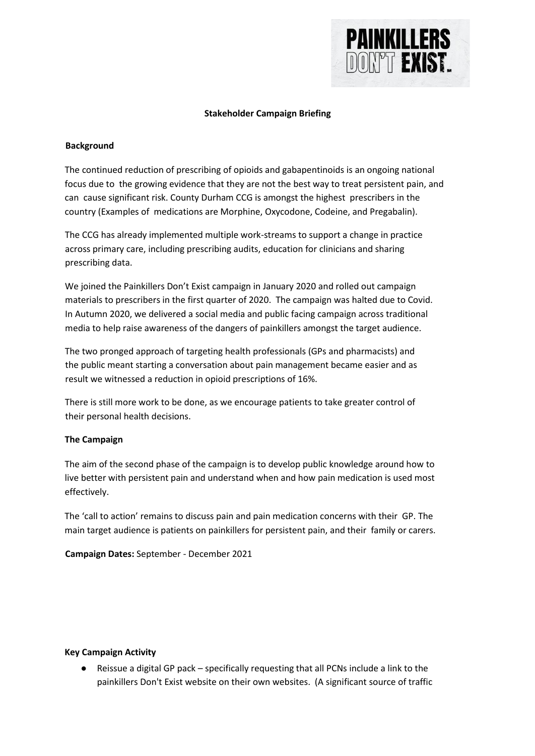

## **Stakeholder Campaign Briefing**

## **Background**

The continued reduction of prescribing of opioids and gabapentinoids is an ongoing national focus due to the growing evidence that they are not the best way to treat persistent pain, and can cause significant risk. County Durham CCG is amongst the highest prescribers in the country (Examples of medications are Morphine, Oxycodone, Codeine, and Pregabalin).

The CCG has already implemented multiple work-streams to support a change in practice across primary care, including prescribing audits, education for clinicians and sharing prescribing data.

We joined the Painkillers Don't Exist campaign in January 2020 and rolled out campaign materials to prescribers in the first quarter of 2020. The campaign was halted due to Covid. In Autumn 2020, we delivered a social media and public facing campaign across traditional media to help raise awareness of the dangers of painkillers amongst the target audience.

The two pronged approach of targeting health professionals (GPs and pharmacists) and the public meant starting a conversation about pain management became easier and as result we witnessed a reduction in opioid prescriptions of 16%.

There is still more work to be done, as we encourage patients to take greater control of their personal health decisions.

## **The Campaign**

The aim of the second phase of the campaign is to develop public knowledge around how to live better with persistent pain and understand when and how pain medication is used most effectively.

The 'call to action' remains to discuss pain and pain medication concerns with their GP. The main target audience is patients on painkillers for persistent pain, and their family or carers.

**Campaign Dates:** September - December 2021

## **Key Campaign Activity**

● Reissue a digital GP pack – specifically requesting that all PCNs include a link to the painkillers Don't Exist website on their own websites. (A significant source of traffic